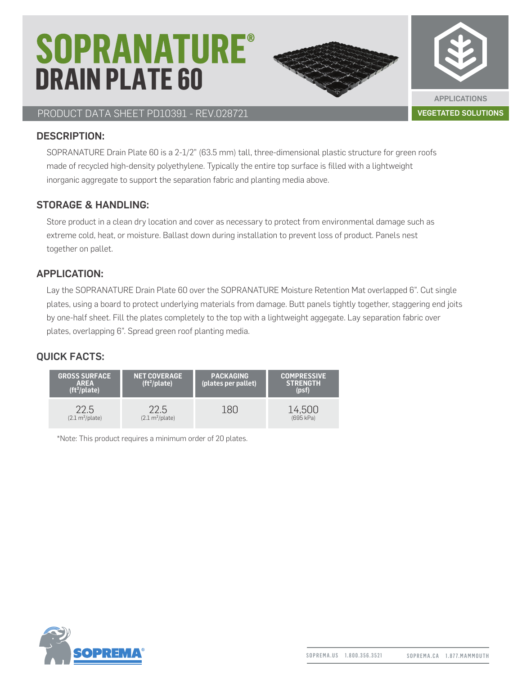## **SOPRANATURE® DRAIN PLATE 60**



#### PRODUCT DATA SHEET PD10391 - REV.028721 VEGETATED SOLUTIONS

#### DESCRIPTION:

SOPRANATURE Drain Plate 60 is a 2-1/2" (63.5 mm) tall, three-dimensional plastic structure for green roofs made of recycled high-density polyethylene. Typically the entire top surface is filled with a lightweight inorganic aggregate to support the separation fabric and planting media above.

#### STORAGE & HANDLING:

Store product in a clean dry location and cover as necessary to protect from environmental damage such as extreme cold, heat, or moisture. Ballast down during installation to prevent loss of product. Panels nest together on pallet.

#### APPLICATION:

Lay the SOPRANATURE Drain Plate 60 over the SOPRANATURE Moisture Retention Mat overlapped 6". Cut single plates, using a board to protect underlying materials from damage. Butt panels tightly together, staggering end joits by one-half sheet. Fill the plates completely to the top with a lightweight aggegate. Lay separation fabric over plates, overlapping 6". Spread green roof planting media.

#### QUICK FACTS:



\*Note: This product requires a minimum order of 20 plates.